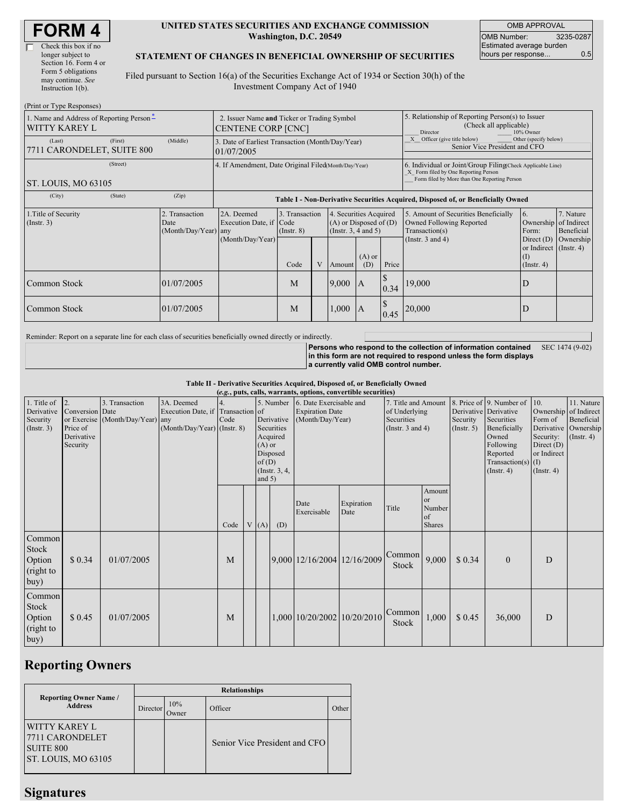#### **UNITED STATES SECURITIES AND EXCHANGE COMMISSION Washington, D.C. 20549**

OMB APPROVAL OMB Number: 3235-0287 Estimated average burden hours per response... 0.5

#### **STATEMENT OF CHANGES IN BENEFICIAL OWNERSHIP OF SECURITIES**

Filed pursuant to Section 16(a) of the Securities Exchange Act of 1934 or Section 30(h) of the Investment Company Act of 1940

| (Print or Type Responses)                                 |                                                                   |                                                      |                                                                                  |                                   |  |                                                                                                     |                                                                                                                                                    |                                                                                        |                                                                                    |                                                                   |                         |
|-----------------------------------------------------------|-------------------------------------------------------------------|------------------------------------------------------|----------------------------------------------------------------------------------|-----------------------------------|--|-----------------------------------------------------------------------------------------------------|----------------------------------------------------------------------------------------------------------------------------------------------------|----------------------------------------------------------------------------------------|------------------------------------------------------------------------------------|-------------------------------------------------------------------|-------------------------|
| 1. Name and Address of Reporting Person-<br>WITTY KAREY L | 2. Issuer Name and Ticker or Trading Symbol<br>CENTENE CORP [CNC] |                                                      |                                                                                  |                                   |  | 5. Relationship of Reporting Person(s) to Issuer<br>(Check all applicable)<br>10% Owner<br>Director |                                                                                                                                                    |                                                                                        |                                                                                    |                                                                   |                         |
| (Last)<br>7711 CARONDELET, SUITE 800                      | (First)                                                           | (Middle)                                             | 3. Date of Earliest Transaction (Month/Day/Year)<br>01/07/2005                   |                                   |  |                                                                                                     |                                                                                                                                                    | X Officer (give title below)<br>Other (specify below)<br>Senior Vice President and CFO |                                                                                    |                                                                   |                         |
| ST. LOUIS, MO 63105                                       |                                                                   | 4. If Amendment, Date Original Filed(Month/Day/Year) |                                                                                  |                                   |  |                                                                                                     | 6. Individual or Joint/Group Filing(Check Applicable Line)<br>X Form filed by One Reporting Person<br>Form filed by More than One Reporting Person |                                                                                        |                                                                                    |                                                                   |                         |
| (City)                                                    | (State)                                                           | (Zip)                                                | Table I - Non-Derivative Securities Acquired, Disposed of, or Beneficially Owned |                                   |  |                                                                                                     |                                                                                                                                                    |                                                                                        |                                                                                    |                                                                   |                         |
| 1. Title of Security<br>(Insert. 3)                       |                                                                   | 2. Transaction<br>Date<br>(Month/Day/Year) any       | 2A. Deemed<br>Execution Date, if Code                                            | 3. Transaction<br>$($ Instr. $8)$ |  | 4. Securities Acquired<br>$(A)$ or Disposed of $(D)$<br>(Insert. 3, 4 and 5)                        |                                                                                                                                                    |                                                                                        | 5. Amount of Securities Beneficially<br>Owned Following Reported<br>Transaction(s) | 16.<br>Ownership of Indirect<br>Form:                             | 7. Nature<br>Beneficial |
|                                                           |                                                                   |                                                      | (Month/Day/Year)                                                                 | Code                              |  | Amount                                                                                              | $(A)$ or<br>(D)                                                                                                                                    | Price                                                                                  | (Instr. $3$ and $4$ )                                                              | Direct $(D)$<br>or Indirect (Instr. 4)<br>(1)<br>$($ Instr. 4 $)$ | Ownership               |
| Common Stock                                              |                                                                   | 01/07/2005                                           |                                                                                  | M                                 |  | 9,000                                                                                               | A                                                                                                                                                  | 0.34                                                                                   | 19,000                                                                             | ID                                                                |                         |
| Common Stock                                              |                                                                   | 01/07/2005                                           |                                                                                  | M                                 |  | 1,000                                                                                               | $\mathsf{A}$                                                                                                                                       | 0.45                                                                                   | 20,000                                                                             | D                                                                 |                         |

Reminder: Report on a separate line for each class of securities beneficially owned directly or indirectly.

**Persons who respond to the collection of information contained in this form are not required to respond unless the form displays a currently valid OMB control number.** SEC 1474 (9-02)

**Table II - Derivative Securities Acquired, Disposed of, or Beneficially Owned (***e.g.***, puts, calls, warrants, options, convertible securities)**

| 1. Title of<br>Derivative<br>Security<br>(Insert. 3) | 2.<br>Conversion Date<br>Price of<br>Derivative<br>Security | 3. Transaction<br>or Exercise (Month/Day/Year) any | 3A. Deemed<br>Execution Date, if Transaction of<br>(Month/Day/Year) (Instr. 8) | 14.<br>Code | $(A)$ or<br>of(D) | Derivative<br>Securities<br>Acquired<br>Disposed | $(\alpha, \beta)$ pats, cans, warrants, options, convertible securities,<br>5. Number 16. Date Exercisable and<br><b>Expiration Date</b><br>(Month/Day/Year) |                             | 7. Title and Amount<br>of Underlying<br>Securities<br>(Instr. $3$ and $4$ ) |                                               | Security<br>(Insert. 5) | 8. Price of 9. Number of<br>Derivative Derivative<br>Securities<br>Beneficially<br>Owned<br>Following<br>Reported<br>Transaction(s) $(I)$ | 10.<br>Ownership of Indirect<br>Form of<br>Derivative<br>Security:<br>Direct $(D)$<br>or Indirect | 11. Nature<br>Beneficial<br>Ownership<br>$($ Instr. 4 $)$ |
|------------------------------------------------------|-------------------------------------------------------------|----------------------------------------------------|--------------------------------------------------------------------------------|-------------|-------------------|--------------------------------------------------|--------------------------------------------------------------------------------------------------------------------------------------------------------------|-----------------------------|-----------------------------------------------------------------------------|-----------------------------------------------|-------------------------|-------------------------------------------------------------------------------------------------------------------------------------------|---------------------------------------------------------------------------------------------------|-----------------------------------------------------------|
|                                                      |                                                             |                                                    |                                                                                | Code        | and $5)$<br>V(A)  | $($ Instr. $3, 4,$<br>(D)                        | Date<br>Exercisable                                                                                                                                          | Expiration<br>Date          | Title                                                                       | Amount<br>or<br>Number<br>of<br><b>Shares</b> |                         | $($ Instr. 4 $)$                                                                                                                          | $($ Instr. 4 $)$                                                                                  |                                                           |
| Common<br>Stock<br>Option<br>(right to<br>buy)       | \$0.34                                                      | 01/07/2005                                         |                                                                                | M           |                   |                                                  | 9,000 12/16/2004 12/16/2009                                                                                                                                  |                             | Common<br>Stock                                                             | 9,000                                         | \$0.34                  | $\mathbf{0}$                                                                                                                              | D                                                                                                 |                                                           |
| Common<br>Stock<br>Option<br>(right to<br>buy)       | \$0.45                                                      | 01/07/2005                                         |                                                                                | M           |                   |                                                  |                                                                                                                                                              | 1,000 10/20/2002 10/20/2010 | Common<br>Stock                                                             | 1,000                                         | \$0.45                  | 36,000                                                                                                                                    | D                                                                                                 |                                                           |

## **Reporting Owners**

|                                                                              | <b>Relationships</b> |              |                               |       |  |  |  |  |  |  |
|------------------------------------------------------------------------------|----------------------|--------------|-------------------------------|-------|--|--|--|--|--|--|
| <b>Reporting Owner Name /</b><br><b>Address</b>                              | Director             | 10%<br>Owner | Officer                       | Other |  |  |  |  |  |  |
| IWITTY KAREY L<br>7711 CARONDELET<br><b>SUITE 800</b><br>ST. LOUIS, MO 63105 |                      |              | Senior Vice President and CFO |       |  |  |  |  |  |  |

### **Signatures**